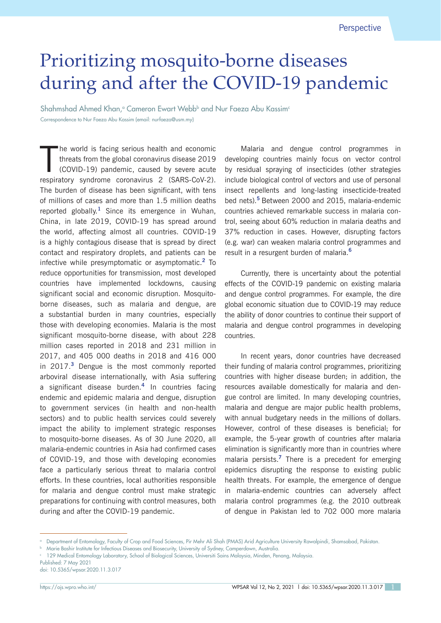## Prioritizing mosquito-borne diseases during and after the COVID-19 pandemic

Shahmshad Ahmed Khan,<sup>a</sup> Cameron Ewart Webb<sup>b</sup> and Nur Faeza Abu Kassim<sup>e</sup> Correspondence to Nur Faeza Abu Kassim (email: nurfaeza@usm.my)

T he world is facing serious health and economic threats from the global coronavirus disease 2019 (COVID-19) pandemic, caused by severe acute respiratory syndrome coronavirus 2 (SARS-CoV-2). The burden of disease has been significant, with tens of millions of cases and more than 1.5 million deaths reported globally.**<sup>1</sup>** Since its emergence in Wuhan, China, in late 2019, COVID-19 has spread around the world, affecting almost all countries. COVID-19 is a highly contagious disease that is spread by direct contact and respiratory droplets, and patients can be infective while presymptomatic or asymptomatic.**<sup>2</sup>** To reduce opportunities for transmission, most developed countries have implemented lockdowns, causing significant social and economic disruption. Mosquitoborne diseases, such as malaria and dengue, are a substantial burden in many countries, especially those with developing economies. Malaria is the most significant mosquito-borne disease, with about 228 million cases reported in 2018 and 231 million in 2017, and 405 000 deaths in 2018 and 416 000 in 2017.**<sup>3</sup>** Dengue is the most commonly reported arboviral disease internationally, with Asia suffering a significant disease burden.**<sup>4</sup>** In countries facing endemic and epidemic malaria and dengue, disruption to government services (in health and non-health sectors) and to public health services could severely impact the ability to implement strategic responses to mosquito-borne diseases. As of 30 June 2020, all malaria-endemic countries in Asia had confirmed cases of COVID-19, and those with developing economies face a particularly serious threat to malaria control efforts. In these countries, local authorities responsible for malaria and dengue control must make strategic preparations for continuing with control measures, both during and after the COVID-19 pandemic.

Malaria and dengue control programmes in developing countries mainly focus on vector control by residual spraying of insecticides (other strategies include biological control of vectors and use of personal insect repellents and long-lasting insecticide-treated bed nets).**<sup>5</sup>**Between 2000 and 2015, malaria-endemic countries achieved remarkable success in malaria control, seeing about 60% reduction in malaria deaths and 37% reduction in cases. However, disrupting factors (e.g. war) can weaken malaria control programmes and result in a resurgent burden of malaria.**<sup>6</sup>**

Currently, there is uncertainty about the potential effects of the COVID-19 pandemic on existing malaria and dengue control programmes. For example, the dire global economic situation due to COVID-19 may reduce the ability of donor countries to continue their support of malaria and dengue control programmes in developing countries.

In recent years, donor countries have decreased their funding of malaria control programmes, prioritizing countries with higher disease burden; in addition, the resources available domestically for malaria and dengue control are limited. In many developing countries, malaria and dengue are major public health problems, with annual budgetary needs in the millions of dollars. However, control of these diseases is beneficial; for example, the 5-year growth of countries after malaria elimination is significantly more than in countries where malaria persists.**<sup>7</sup>** There is a precedent for emerging epidemics disrupting the response to existing public health threats. For example, the emergence of dengue in malaria-endemic countries can adversely affect malaria control programmes (e.g. the 2010 outbreak of dengue in Pakistan led to 702 000 more malaria

<sup>a</sup> Department of Entomology, Faculty of Crop and Food Sciences, Pir Mehr Ali Shah (PMAS) Arid Agriculture University Rawalpindi, Shamsabad, Pakistan.

<sup>b</sup> Marie Bashir Institute for Infectious Diseases and Biosecurity, University of Sydney, Camperdown, Australia.

<sup>c</sup> 129 Medical Entomology Laboratory, School of Biological Sciences, Universiti Sains Malaysia, Minden, Penang, Malaysia.

Published: 7 May 2021 doi: 10.5365/wpsar.2020.11.3.017